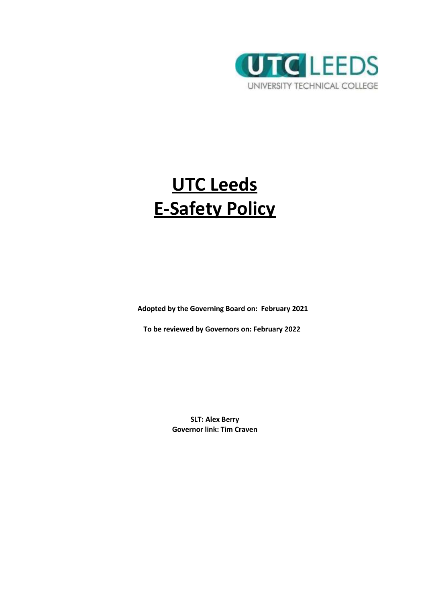

# **UTC Leeds E-Safety Policy**

**Adopted by the Governing Board on: February 2021**

**To be reviewed by Governors on: February 2022**

**SLT: Alex Berry Governor link: Tim Craven**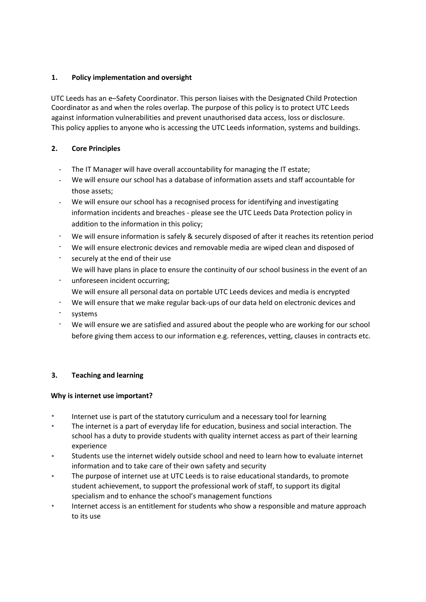# **1. Policy implementation and oversight**

UTC Leeds has an e–Safety Coordinator. This person liaises with the Designated Child Protection Coordinator as and when the roles overlap. The purpose of this policy is to protect UTC Leeds against information vulnerabilities and prevent unauthorised data access, loss or disclosure. This policy applies to anyone who is accessing the UTC Leeds information, systems and buildings.

# **2. Core Principles**

- The IT Manager will have overall accountability for managing the IT estate;
- We will ensure our school has a database of information assets and staff accountable for those assets;
- We will ensure our school has a recognised process for identifying and investigating information incidents and breaches - please see the UTC Leeds Data Protection policy in addition to the information in this policy; -
- We will ensure information is safely & securely disposed of after it reaches its retention period -
- We will ensure electronic devices and removable media are wiped clean and disposed of -
- securely at the end of their use We will have plans in place to ensure the continuity of our school business in the event of an -
- unforeseen incident occurring; We will ensure all personal data on portable UTC Leeds devices and media is encrypted -
- We will ensure that we make regular back-ups of our data held on electronic devices and -
- systems -
- We will ensure we are satisfied and assured about the people who are working for our school before giving them access to our information e.g. references, vetting, clauses in contracts etc. -

# **3. Teaching and learning**

## **Why is internet use important?**

- Internet use is part of the statutory curriculum and a necessary tool for learning
- The internet is a part of everyday life for education, business and social interaction. The school has a duty to provide students with quality internet access as part of their learning experience
- Students use the internet widely outside school and need to learn how to evaluate internet information and to take care of their own safety and security •
- The purpose of internet use at UTC Leeds is to raise educational standards, to promote student achievement, to support the professional work of staff, to support its digital specialism and to enhance the school's management functions •
- Internet access is an entitlement for students who show a responsible and mature approach to its use •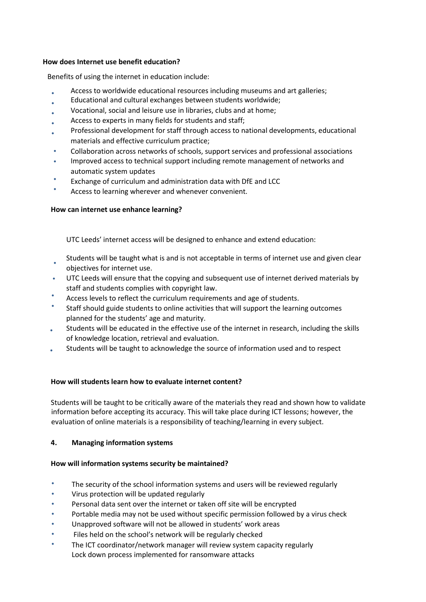#### **How does Internet use benefit education?**

Benefits of using the internet in education include:

- Access to worldwide educational resources including museums and art galleries;
- Educational and cultural exchanges between students worldwide;
- Vocational, social and leisure use in libraries, clubs and at home;
- Access to experts in many fields for students and staff;
- Professional development for staff through access to national developments, educational materials and effective curriculum practice;
- Collaboration across networks of schools, support services and professional associations •
- Improved access to technical support including remote management of networks and automatic system updates •
- Exchange of curriculum and administration data with DfE and LCC •
- Access to learning wherever and whenever convenient. •

## **How can internet use enhance learning?**

UTC Leeds' internet access will be designed to enhance and extend education:

- Students will be taught what is and is not acceptable in terms of internet use and given clear objectives for internet use. •
- UTC Leeds will ensure that the copying and subsequent use of internet derived materials by staff and students complies with copyright law. •
- Access levels to reflect the curriculum requirements and age of students. •
- Staff should guide students to online activities that will support the learning outcomes planned for the students' age and maturity. •
- Students will be educated in the effective use of the internet in research, including the skills of knowledge location, retrieval and evaluation. •
- Students will be taught to acknowledge the source of information used and to respect •

## **How will students learn how to evaluate internet content?**

Students will be taught to be critically aware of the materials they read and shown how to validate information before accepting its accuracy. This will take place during ICT lessons; however, the evaluation of online materials is a responsibility of teaching/learning in every subject.

## **4. Managing information systems**

## **How will information systems security be maintained?**

- The security of the school information systems and users will be reviewed regularly
- Virus protection will be updated regularly
- Personal data sent over the internet or taken off site will be encrypted
- Portable media may not be used without specific permission followed by a virus check
- Unapproved software will not be allowed in students' work areas
- Files held on the school's network will be regularly checked
- The ICT coordinator/network manager will review system capacity regularly Lock down process implemented for ransomware attacks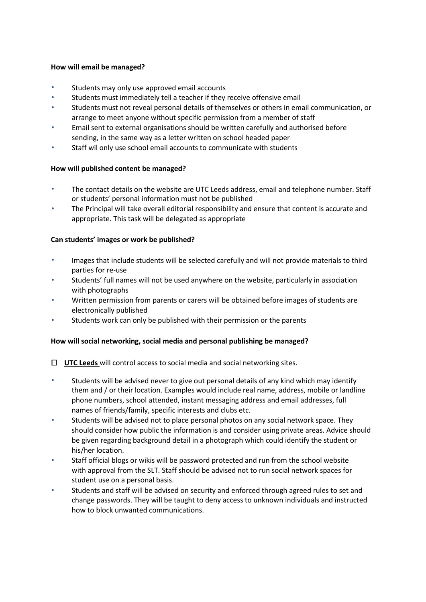#### **How will email be managed?**

- Students may only use approved email accounts
- Students must immediately tell a teacher if they receive offensive email
- Students must not reveal personal details of themselves or others in email communication, or arrange to meet anyone without specific permission from a member of staff
- Email sent to external organisations should be written carefully and authorised before sending, in the same way as a letter written on school headed paper •
- Staff wil only use school email accounts to communicate with students •

## **How will published content be managed?**

- The contact details on the website are UTC Leeds address, email and telephone number. Staff or students' personal information must not be published
- The Principal will take overall editorial responsibility and ensure that content is accurate and appropriate. This task will be delegated as appropriate •

## **Can students' images or work be published?**

- Images that include students will be selected carefully and will not provide materials to third parties for re-use
- Students' full names will not be used anywhere on the website, particularly in association with photographs •
- Written permission from parents or carers will be obtained before images of students are electronically published •
- Students work can only be published with their permission or the parents •

## **How will social networking, social media and personal publishing be managed?**

- **UTC Leeds** will control access to social media and social networking sites.
- Students will be advised never to give out personal details of any kind which may identify them and / or their location. Examples would include real name, address, mobile or landline phone numbers, school attended, instant messaging address and email addresses, full names of friends/family, specific interests and clubs etc.
- Students will be advised not to place personal photos on any social network space. They should consider how public the information is and consider using private areas. Advice should be given regarding background detail in a photograph which could identify the student or his/her location. •
- Staff official blogs or wikis will be password protected and run from the school website with approval from the SLT. Staff should be advised not to run social network spaces for student use on a personal basis. •
- Students and staff will be advised on security and enforced through agreed rules to set and change passwords. They will be taught to deny access to unknown individuals and instructed how to block unwanted communications. •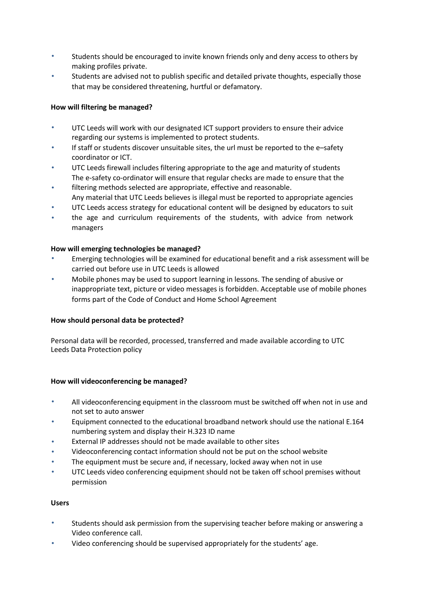- Students should be encouraged to invite known friends only and deny access to others by making profiles private.
- Students are advised not to publish specific and detailed private thoughts, especially those that may be considered threatening, hurtful or defamatory. •

## **How will filtering be managed?**

- UTC Leeds will work with our designated ICT support providers to ensure their advice regarding our systems is implemented to protect students.
- If staff or students discover unsuitable sites, the url must be reported to the e–safety coordinator or ICT. •
- UTC Leeds firewall includes filtering appropriate to the age and maturity of students The e-safety co-ordinator will ensure that regular checks are made to ensure that the •
- filtering methods selected are appropriate, effective and reasonable. Any material that UTC Leeds believes is illegal must be reported to appropriate agencies •
- UTC Leeds access strategy for educational content will be designed by educators to suit •
- the age and curriculum requirements of the students, with advice from network managers •

## **How will emerging technologies be managed?**

- Emerging technologies will be examined for educational benefit and a risk assessment will be carried out before use in UTC Leeds is allowed
- Mobile phones may be used to support learning in lessons. The sending of abusive or inappropriate text, picture or video messages is forbidden. Acceptable use of mobile phones forms part of the Code of Conduct and Home School Agreement •

## **How should personal data be protected?**

Personal data will be recorded, processed, transferred and made available according to UTC Leeds Data Protection policy

## **How will videoconferencing be managed?**

- All videoconferencing equipment in the classroom must be switched off when not in use and not set to auto answer
- Equipment connected to the educational broadband network should use the national E.164 numbering system and display their H.323 ID name •
- External IP addresses should not be made available to other sites •
- Videoconferencing contact information should not be put on the school website •
- The equipment must be secure and, if necessary, locked away when not in use •
- UTC Leeds video conferencing equipment should not be taken off school premises without permission •

## **Users**

- Students should ask permission from the supervising teacher before making or answering a Video conference call.
- Video conferencing should be supervised appropriately for the students' age.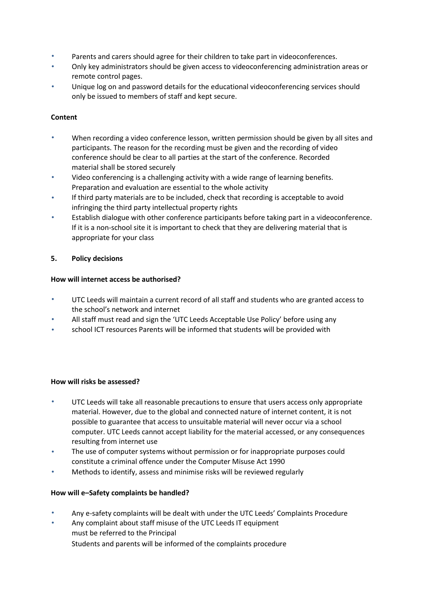- Parents and carers should agree for their children to take part in videoconferences.
- Only key administrators should be given access to videoconferencing administration areas or remote control pages.
- Unique log on and password details for the educational videoconferencing services should only be issued to members of staff and kept secure. •

# **Content**

- When recording a video conference lesson, written permission should be given by all sites and participants. The reason for the recording must be given and the recording of video conference should be clear to all parties at the start of the conference. Recorded material shall be stored securely
- Video conferencing is a challenging activity with a wide range of learning benefits. Preparation and evaluation are essential to the whole activity •
- If third party materials are to be included, check that recording is acceptable to avoid infringing the third party intellectual property rights •
- Establish dialogue with other conference participants before taking part in a videoconference. If it is a non-school site it is important to check that they are delivering material that is appropriate for your class •

# **5. Policy decisions**

# **How will internet access be authorised?**

- UTC Leeds will maintain a current record of all staff and students who are granted access to the school's network and internet
- All staff must read and sign the 'UTC Leeds Acceptable Use Policy' before using any •
- school ICT resources Parents will be informed that students will be provided with •

## **How will risks be assessed?**

- UTC Leeds will take all reasonable precautions to ensure that users access only appropriate material. However, due to the global and connected nature of internet content, it is not possible to guarantee that access to unsuitable material will never occur via a school computer. UTC Leeds cannot accept liability for the material accessed, or any consequences resulting from internet use
- The use of computer systems without permission or for inappropriate purposes could constitute a criminal offence under the Computer Misuse Act 1990 •
- Methods to identify, assess and minimise risks will be reviewed regularly •

## **How will e–Safety complaints be handled?**

- Any e-safety complaints will be dealt with under the UTC Leeds' Complaints Procedure
- Any complaint about staff misuse of the UTC Leeds IT equipment must be referred to the Principal Students and parents will be informed of the complaints procedure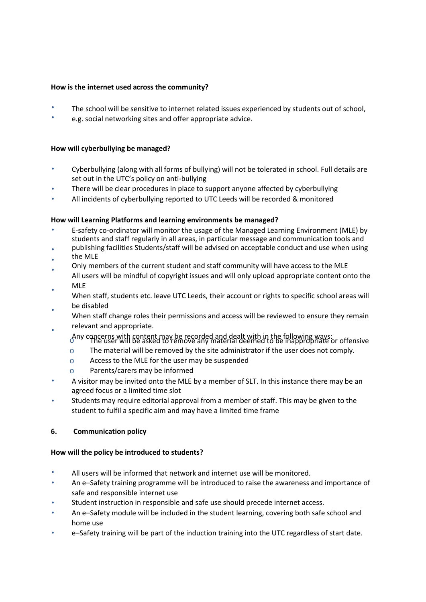#### **How is the internet used across the community?**

- The school will be sensitive to internet related issues experienced by students out of school,
- e.g. social networking sites and offer appropriate advice.

#### **How will cyberbullying be managed?**

- Cyberbullying (along with all forms of bullying) will not be tolerated in school. Full details are set out in the UTC's policy on anti-bullying
- There will be clear procedures in place to support anyone affected by cyberbullying •
- All incidents of cyberbullying reported to UTC Leeds will be recorded & monitored •

#### **How will Learning Platforms and learning environments be managed?**

- E-safety co-ordinator will monitor the usage of the Managed Learning Environment (MLE) by students and staff regularly in all areas, in particular message and communication tools and
- publishing facilities Students/staff will be advised on acceptable conduct and use when using •
- the MLE •
- Only members of the current student and staff community will have access to the MLE •
- All users will be mindful of copyright issues and will only upload appropriate content onto the MLE
- When staff, students etc. leave UTC Leeds, their account or rights to specific school areas will be disabled •
- When staff change roles their permissions and access will be reviewed to ensure they remain relevant and appropriate. • •
	- Any concerns with content may be recorded and dealt with in the following ways: o The user will be asked to remove any material deemed to be inappropriate or offensive
	- o The material will be removed by the site administrator if the user does not comply.
	- o Access to the MLE for the user may be suspended
	- o Parents/carers may be informed
- A visitor may be invited onto the MLE by a member of SLT. In this instance there may be an agreed focus or a limited time slot
- Students may require editorial approval from a member of staff. This may be given to the student to fulfil a specific aim and may have a limited time frame •

## **6. Communication policy**

## **How will the policy be introduced to students?**

- All users will be informed that network and internet use will be monitored.
- An e–Safety training programme will be introduced to raise the awareness and importance of safe and responsible internet use
- Student instruction in responsible and safe use should precede internet access. •
- An e–Safety module will be included in the student learning, covering both safe school and home use •
- e–Safety training will be part of the induction training into the UTC regardless of start date. •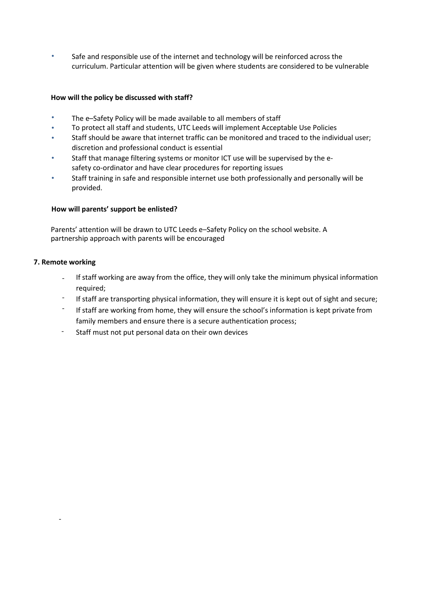Safe and responsible use of the internet and technology will be reinforced across the curriculum. Particular attention will be given where students are considered to be vulnerable

#### **How will the policy be discussed with staff?**

- The e–Safety Policy will be made available to all members of staff
- To protect all staff and students, UTC Leeds will implement Acceptable Use Policies
- Staff should be aware that internet traffic can be monitored and traced to the individual user; discretion and professional conduct is essential
- Staff that manage filtering systems or monitor ICT use will be supervised by the esafety co-ordinator and have clear procedures for reporting issues •
- Staff training in safe and responsible internet use both professionally and personally will be provided. •

#### **How will parents' support be enlisted?**

Parents' attention will be drawn to UTC Leeds e–Safety Policy on the school website. A partnership approach with parents will be encouraged

#### **7. Remote working**

-

- If staff working are away from the office, they will only take the minimum physical information required;
- If staff are transporting physical information, they will ensure it is kept out of sight and secure; -
- If staff are working from home, they will ensure the school's information is kept private from family members and ensure there is a secure authentication process; -
- Staff must not put personal data on their own devices -